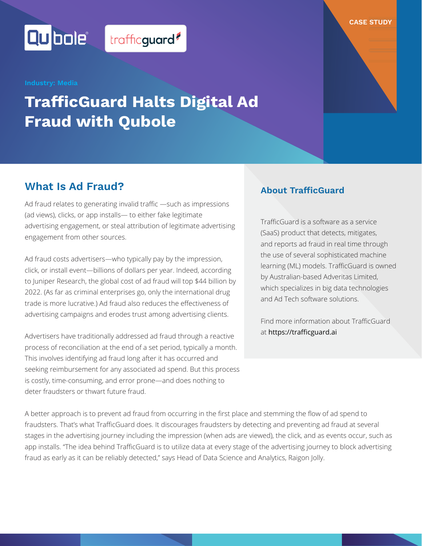Qubolet

# **TrafficGuard Halts Digital Ad Fraud with Qubole**

trafficguard?

### **What Is Ad Fraud?**

Ad fraud relates to generating invalid traffic —such as impressions (ad views), clicks, or app installs— to either fake legitimate advertising engagement, or steal attribution of legitimate advertising engagement from other sources.

Ad fraud costs advertisers—who typically pay by the impression, click, or install event—billions of dollars per year. Indeed, according to Juniper Research, the global cost of ad fraud will top \$44 billion by 2022. (As far as criminal enterprises go, only the international drug trade is more lucrative.) Ad fraud also reduces the effectiveness of advertising campaigns and erodes trust among advertising clients.

Advertisers have traditionally addressed ad fraud through a reactive process of reconciliation at the end of a set period, typically a month. This involves identifying ad fraud long after it has occurred and seeking reimbursement for any associated ad spend. But this process is costly, time-consuming, and error prone—and does nothing to deter fraudsters or thwart future fraud.

### **About TrafficGuard**

[TrafficGuard](http://trafficguard.ai/) is a software as a service (SaaS) product that detects, mitigates, and reports ad fraud in real time through the use of several sophisticated machine learning (ML) models. TrafficGuard is owned by Australian-based Adveritas Limited, which specializes in big data technologies and Ad Tech software solutions.

**CASE STUDY**

Find more information about TrafficGuard at [https://trafficguard.ai](http://trafficguard.ai/)

A better approach is to prevent ad fraud from occurring in the first place and stemming the flow of ad spend to fraudsters. That's what TrafficGuard does. It discourages fraudsters by detecting and preventing ad fraud at several stages in the advertising journey including the impression (when ads are viewed), the click, and as events occur, such as app installs. "The idea behind TrafficGuard is to utilize data at every stage of the advertising journey to block advertising fraud as early as it can be reliably detected," says Head of Data Science and Analytics, Raigon Jolly.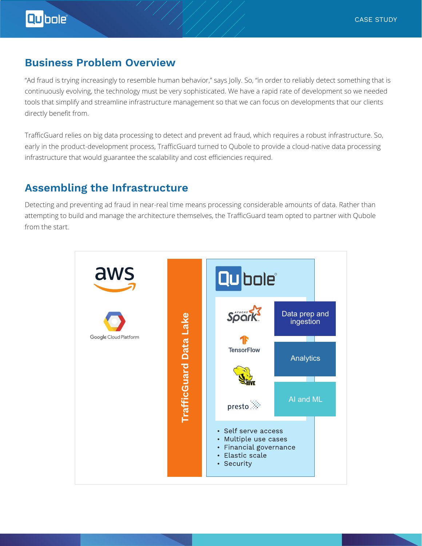### **Business Problem Overview**

"Ad fraud is trying increasingly to resemble human behavior," says Jolly. So, "in order to reliably detect something that is continuously evolving, the technology must be very sophisticated. We have a rapid rate of development so we needed tools that simplify and streamline infrastructure management so that we can focus on developments that our clients directly benefit from.

TrafficGuard relies on big data processing to detect and prevent ad fraud, which requires a robust infrastructure. So, early in the product-development process, TrafficGuard turned to Qubole to provide a cloud-native data processing infrastructure that would guarantee the scalability and cost efficiencies required.

### **Assembling the Infrastructure**

Detecting and preventing ad fraud in near-real time means processing considerable amounts of data. Rather than attempting to build and manage the architecture themselves, the TrafficGuard team opted to partner with Qubole from the start.

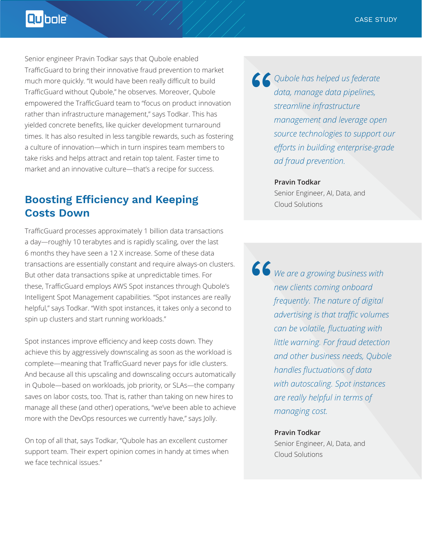Qubole

Senior engineer Pravin Todkar says that Qubole enabled TrafficGuard to bring their innovative fraud prevention to market much more quickly. "It would have been really difficult to build TrafficGuard without Qubole," he observes. Moreover, Qubole empowered the TrafficGuard team to "focus on product innovation rather than infrastructure management," says Todkar. This has yielded concrete benefits, like quicker development turnaround times. It has also resulted in less tangible rewards, such as fostering a culture of innovation—which in turn inspires team members to take risks and helps attract and retain top talent. Faster time to market and an innovative culture—that's a recipe for success.

## **Boosting Efficiency and Keeping Costs Down**

TrafficGuard processes approximately 1 billion data transactions a day—roughly 10 terabytes and is rapidly scaling, over the last 6 months they have seen a 12 X increase. Some of these data transactions are essentially constant and require always-on clusters. But other data transactions spike at unpredictable times. For these, TrafficGuard employs AWS Spot instances through Qubole's Intelligent Spot Management capabilities. "Spot instances are really helpful," says Todkar. "With spot instances, it takes only a second to spin up clusters and start running workloads."

Spot instances improve efficiency and keep costs down. They achieve this by aggressively downscaling as soon as the workload is complete—meaning that TrafficGuard never pays for idle clusters. And because all this upscaling and downscaling occurs automatically in Qubole—based on workloads, job priority, or SLAs—the company saves on labor costs, too. That is, rather than taking on new hires to manage all these (and other) operations, "we've been able to achieve more with the DevOps resources we currently have," says Jolly.

On top of all that, says Todkar, "Qubole has an excellent customer support team. Their expert opinion comes in handy at times when we face technical issues."

*Qubole has helped us federate<br>data, manage data pipelines,*<br>streamline infrastructure<br>management and leverage ope *data, manage data pipelines, streamline infrastructure management and leverage open source technologies to support our efforts in building enterprise-grade ad fraud prevention.*

#### **Pravin Todkar** Senior Engineer, AI, Data, and

Cloud Solutions

*We are a growing business with new clients coming onboard frequently. The nature of digital advertising is that traffic volumes can be volatile, fluctuating with little warning. For fraud detection and other business needs, Qubole handles fluctuations of data with autoscaling. Spot instances are really helpful in terms of managing cost.* "

#### **Pravin Todkar**

Senior Engineer, AI, Data, and Cloud Solutions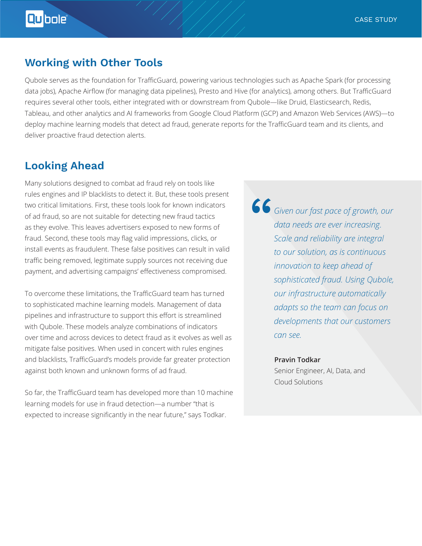### **Working with Other Tools**

Qubole serves as the foundation for TrafficGuard, powering various technologies such as Apache Spark (for processing data jobs), Apache Airflow (for managing data pipelines), Presto and Hive (for analytics), among others. But TrafficGuard requires several other tools, either integrated with or downstream from Qubole—like Druid, Elasticsearch, Redis, Tableau, and other analytics and AI frameworks from Google Cloud Platform (GCP) and Amazon Web Services (AWS)—to deploy machine learning models that detect ad fraud, generate reports for the TrafficGuard team and its clients, and deliver proactive fraud detection alerts.

### **Looking Ahead**

Many solutions designed to combat ad fraud rely on tools like rules engines and IP blacklists to detect it. But, these tools present two critical limitations. First, these tools look for known indicators of ad fraud, so are not suitable for detecting new fraud tactics as they evolve. This leaves advertisers exposed to new forms of fraud. Second, these tools may flag valid impressions, clicks, or install events as fraudulent. These false positives can result in valid traffic being removed, legitimate supply sources not receiving due payment, and advertising campaigns' effectiveness compromised.

To overcome these limitations, the TrafficGuard team has turned to sophisticated machine learning models. Management of data pipelines and infrastructure to support this effort is streamlined with Qubole. These models analyze combinations of indicators over time and across devices to detect fraud as it evolves as well as mitigate false positives. When used in concert with rules engines and blacklists, TrafficGuard's models provide far greater protection against both known and unknown forms of ad fraud.

So far, the TrafficGuard team has developed more than 10 machine learning models for use in fraud detection—a number "that is expected to increase significantly in the near future," says Todkar.

*Given our fast pace of growth, our data needs are ever increasing. Scale and reliability are integral to our solution, as is continuous innovation to keep ahead of sophisticated fraud. Using Qubole, our infrastructure automatically adapts so the team can focus on developments that our customers can see.* "

#### **Pravin Todkar**

Senior Engineer, AI, Data, and Cloud Solutions